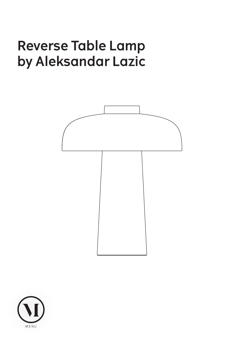# **Reverse Table Lamp by Aleksandar Lazic**